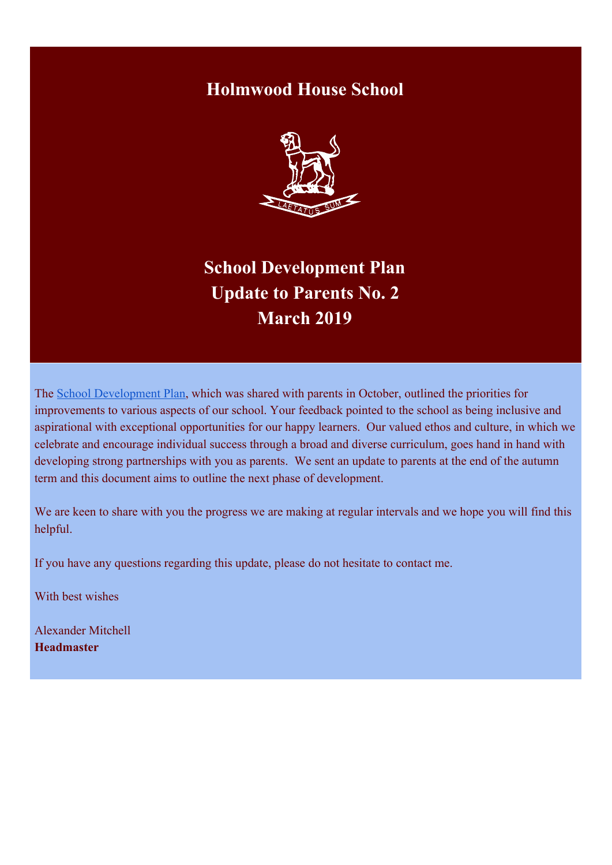# **Holmwood House School**



**School Development Plan Update to Parents No. 2 March 2019**

The [School Development Plan,](http://www.holmwood.essex.sch.uk/About/School-Development-Plan/HW-Development_plan_v2-web.pdf) which was shared with parents in October, outlined the priorities for improvements to various aspects of our school. Your feedback pointed to the school as being inclusive and aspirational with exceptional opportunities for our happy learners. Our valued ethos and culture, in which we celebrate and encourage individual success through a broad and diverse curriculum, goes hand in hand with developing strong partnerships with you as parents. We sent an update to parents at the end of the autumn term and this document aims to outline the next phase of development.

We are keen to share with you the progress we are making at regular intervals and we hope you will find this helpful.

If you have any questions regarding this update, please do not hesitate to contact me.

With best wishes

Alexander Mitchell **Headmaster**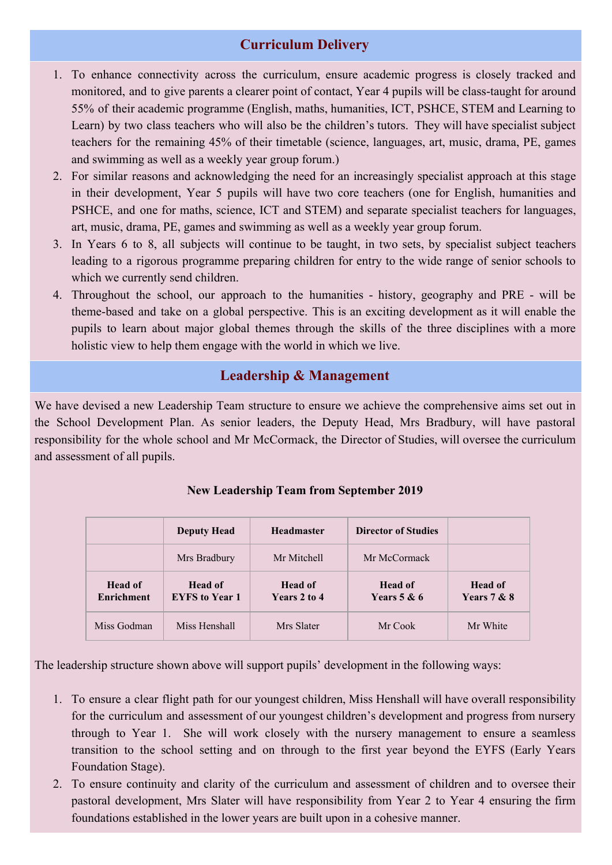# **Curriculum Delivery**

- 1. To enhance connectivity across the curriculum, ensure academic progress is closely tracked and monitored, and to give parents a clearer point of contact, Year 4 pupils will be class-taught for around 55% of their academic programme (English, maths, humanities, ICT, PSHCE, STEM and Learning to Learn) by two class teachers who will also be the children's tutors. They will have specialist subject teachers for the remaining 45% of their timetable (science, languages, art, music, drama, PE, games and swimming as well as a weekly year group forum.)
- 2. For similar reasons and acknowledging the need for an increasingly specialist approach at this stage in their development, Year 5 pupils will have two core teachers (one for English, humanities and PSHCE, and one for maths, science, ICT and STEM) and separate specialist teachers for languages, art, music, drama, PE, games and swimming as well as a weekly year group forum.
- 3. In Years 6 to 8, all subjects will continue to be taught, in two sets, by specialist subject teachers leading to a rigorous programme preparing children for entry to the wide range of senior schools to which we currently send children.
- 4. Throughout the school, our approach to the humanities history, geography and PRE will be theme-based and take on a global perspective. This is an exciting development as it will enable the pupils to learn about major global themes through the skills of the three disciplines with a more holistic view to help them engage with the world in which we live.

# **Leadership & Management**

We have devised a new Leadership Team structure to ensure we achieve the comprehensive aims set out in the School Development Plan. As senior leaders, the Deputy Head, Mrs Bradbury, will have pastoral responsibility for the whole school and Mr McCormack, the Director of Studies, will oversee the curriculum and assessment of all pupils.

|                              | <b>Deputy Head</b>               | <b>Headmaster</b>       | <b>Director of Studies</b>      |                               |
|------------------------------|----------------------------------|-------------------------|---------------------------------|-------------------------------|
|                              | Mrs Bradbury                     | Mr Mitchell             | Mr McCormack                    |                               |
| Head of<br><b>Enrichment</b> | Head of<br><b>EYFS</b> to Year 1 | Head of<br>Years 2 to 4 | <b>Head of</b><br>Years $5 & 6$ | <b>Head of</b><br>Years 7 & 8 |
| Miss Godman                  | Miss Henshall                    | Mrs Slater              | Mr Cook                         | Mr White                      |

## **New Leadership Team from September 2019**

The leadership structure shown above will support pupils' development in the following ways:

- 1. To ensure a clear flight path for our youngest children, Miss Henshall will have overall responsibility for the curriculum and assessment of our youngest children's development and progress from nursery through to Year 1. She will work closely with the nursery management to ensure a seamless transition to the school setting and on through to the first year beyond the EYFS (Early Years Foundation Stage).
- 2. To ensure continuity and clarity of the curriculum and assessment of children and to oversee their pastoral development, Mrs Slater will have responsibility from Year 2 to Year 4 ensuring the firm foundations established in the lower years are built upon in a cohesive manner.